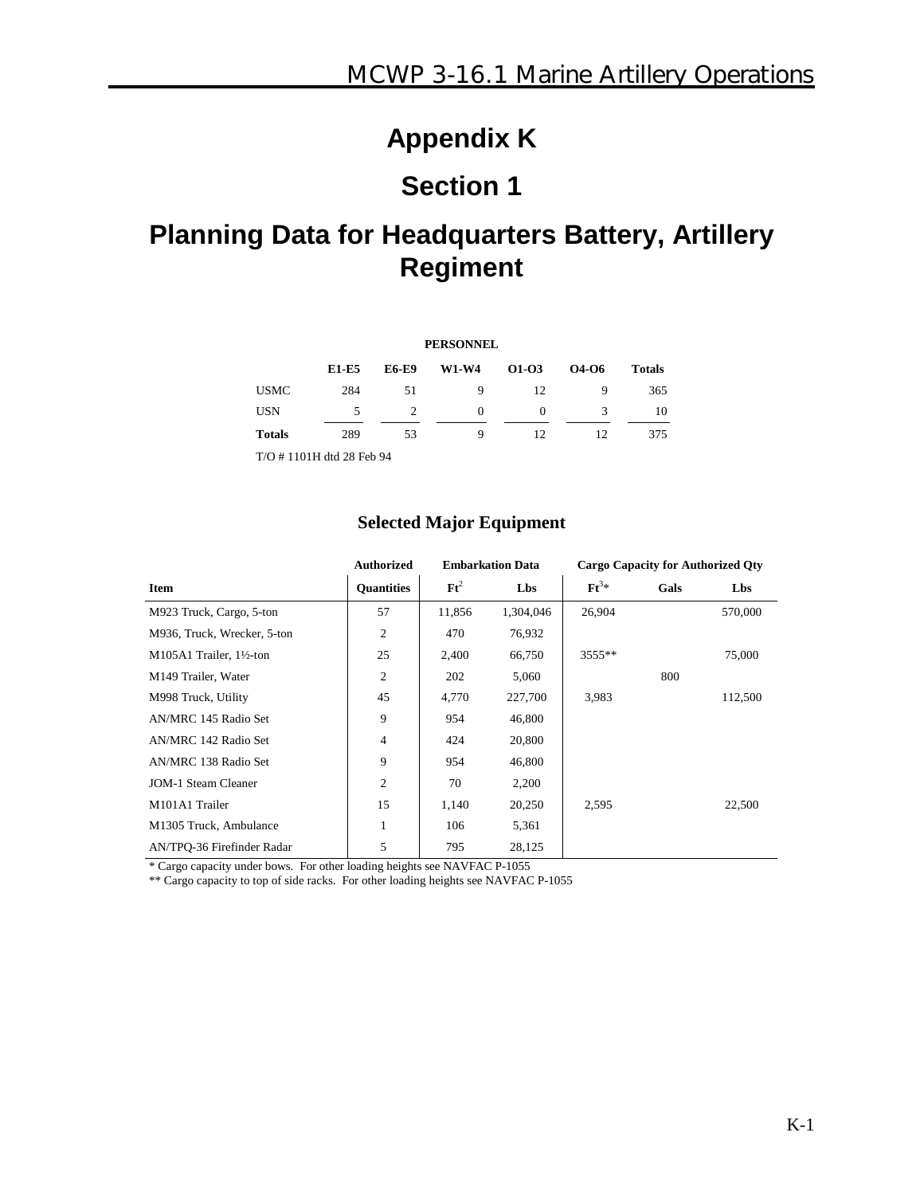## **Appendix K**

# **Section 1**

## **Planning Data for Headquarters Battery, Artillery Regiment**

| <b>PERSONNEL</b> |                             |                |              |          |       |               |  |  |  |
|------------------|-----------------------------|----------------|--------------|----------|-------|---------------|--|--|--|
|                  | E1-E5                       | <b>E6-E9</b>   | <b>W1-W4</b> | 01-03    | 04-06 | <b>Totals</b> |  |  |  |
| <b>USMC</b>      | 284                         | 51             | 9            | 12       | 9     | 365           |  |  |  |
| <b>USN</b>       | 5                           | $\overline{c}$ | $\Omega$     | $\Omega$ | 3     | 10            |  |  |  |
| <b>Totals</b>    | 289                         | 53             | 9            | 12       | 12    | 375           |  |  |  |
|                  | $T/O$ # 1101H dtd 28 Feb 94 |                |              |          |       |               |  |  |  |

#### **Selected Major Equipment**

|                             | <b>Authorized</b> |                 | <b>Embarkation Data</b> | <b>Cargo Capacity for Authorized Qty</b> |      |         |
|-----------------------------|-------------------|-----------------|-------------------------|------------------------------------------|------|---------|
| Item                        | <b>Ouantities</b> | $\mathbf{F}t^2$ | Lbs                     | $\mathbf{F} \mathbf{t}^{3*}$             | Gals | Lbs     |
| M923 Truck, Cargo, 5-ton    | 57                | 11,856          | 1,304,046               | 26,904                                   |      | 570,000 |
| M936, Truck, Wrecker, 5-ton | 2                 | 470             | 76,932                  |                                          |      |         |
| M105A1 Trailer, 1½-ton      | 25                | 2,400           | 66,750                  | 3555**                                   |      | 75,000  |
| M149 Trailer, Water         | $\overline{c}$    | 202             | 5,060                   |                                          | 800  |         |
| M998 Truck, Utility         | 45                | 4,770           | 227,700                 | 3,983                                    |      | 112,500 |
| AN/MRC 145 Radio Set        | 9                 | 954             | 46,800                  |                                          |      |         |
| AN/MRC 142 Radio Set        | $\overline{4}$    | 424             | 20,800                  |                                          |      |         |
| AN/MRC 138 Radio Set        | 9                 | 954             | 46,800                  |                                          |      |         |
| <b>JOM-1 Steam Cleaner</b>  | $\overline{c}$    | 70              | 2,200                   |                                          |      |         |
| M101A1 Trailer              | 15                | 1,140           | 20,250                  | 2,595                                    |      | 22,500  |
| M1305 Truck, Ambulance      | 1                 | 106             | 5,361                   |                                          |      |         |
| AN/TPO-36 Firefinder Radar  | 5                 | 795             | 28,125                  |                                          |      |         |

\* Cargo capacity under bows. For other loading heights see NAVFAC P-1055

\*\* Cargo capacity to top of side racks. For other loading heights see NAVFAC P-1055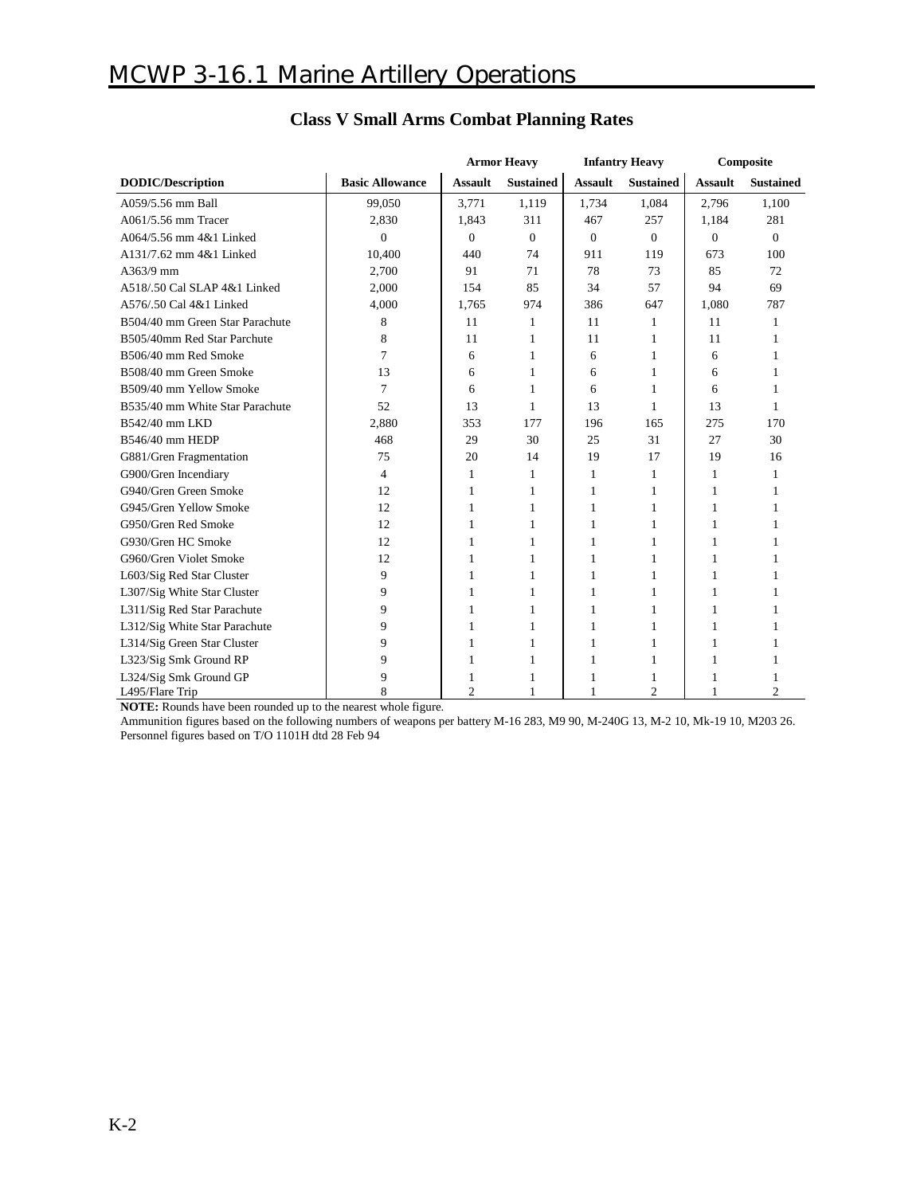|                                 |                        | <b>Armor Heavy</b> |                  | <b>Infantry Heavy</b> |                  | Composite      |                  |
|---------------------------------|------------------------|--------------------|------------------|-----------------------|------------------|----------------|------------------|
| <b>DODIC/Description</b>        | <b>Basic Allowance</b> | <b>Assault</b>     | <b>Sustained</b> | <b>Assault</b>        | <b>Sustained</b> | <b>Assault</b> | <b>Sustained</b> |
| A059/5.56 mm Ball               | 99,050                 | 3,771              | 1,119            | 1,734                 | 1.084            | 2,796          | 1,100            |
| A061/5.56 mm Tracer             | 2,830                  | 1,843              | 311              | 467                   | 257              | 1,184          | 281              |
| A064/5.56 mm 4&1 Linked         | $\theta$               | $\theta$           | $\Omega$         | $\Omega$              | $\theta$         | $\Omega$       | $\Omega$         |
| A131/7.62 mm 4&1 Linked         | 10,400                 | 440                | 74               | 911                   | 119              | 673            | 100              |
| A363/9 mm                       | 2,700                  | 91                 | 71               | 78                    | 73               | 85             | 72               |
| A518/.50 Cal SLAP 4&1 Linked    | 2,000                  | 154                | 85               | 34                    | 57               | 94             | 69               |
| A576/.50 Cal 4&1 Linked         | 4,000                  | 1,765              | 974              | 386                   | 647              | 1,080          | 787              |
| B504/40 mm Green Star Parachute | 8                      | 11                 | 1                | 11                    | 1                | 11             | 1                |
| B505/40mm Red Star Parchute     | 8                      | 11                 | 1                | 11                    | 1                | 11             | 1                |
| B506/40 mm Red Smoke            | 7                      | 6                  | 1                | 6                     | 1                | 6              | 1                |
| B508/40 mm Green Smoke          | 13                     | 6                  | 1                | 6                     | 1                | 6              | 1                |
| B509/40 mm Yellow Smoke         | 7                      | 6                  | 1                | 6                     | 1                | 6              |                  |
| B535/40 mm White Star Parachute | 52                     | 13                 | 1                | 13                    | 1                | 13             | $\mathbf{1}$     |
| B542/40 mm LKD                  | 2,880                  | 353                | 177              | 196                   | 165              | 275            | 170              |
| B546/40 mm HEDP                 | 468                    | 29                 | 30               | 25                    | 31               | 27             | 30               |
| G881/Gren Fragmentation         | 75                     | 20                 | 14               | 19                    | 17               | 19             | 16               |
| G900/Gren Incendiary            | 4                      | 1                  | 1                | $\mathbf{1}$          | 1                | 1              | 1                |
| G940/Gren Green Smoke           | 12                     | 1                  | 1                | 1                     | 1                | 1              |                  |
| G945/Gren Yellow Smoke          | 12                     | 1                  | 1                | 1                     | 1                | 1              |                  |
| G950/Gren Red Smoke             | 12                     | 1                  | 1                | $\mathbf{1}$          | 1                | 1              | 1                |
| G930/Gren HC Smoke              | 12                     | 1                  | 1                | 1                     | 1                | 1              |                  |
| G960/Gren Violet Smoke          | 12                     | 1                  | 1                | 1                     | 1                | 1              |                  |
| L603/Sig Red Star Cluster       | 9                      | 1                  | 1                | 1                     | 1                | 1              | 1                |
| L307/Sig White Star Cluster     | 9                      | 1                  | 1                | 1                     | 1                | 1              |                  |
| L311/Sig Red Star Parachute     | 9                      | 1                  | 1                | 1                     | 1                | 1              |                  |
| L312/Sig White Star Parachute   | 9                      | 1                  | 1                | 1                     | 1                | 1              |                  |
| L314/Sig Green Star Cluster     | 9                      | 1                  | 1                | 1                     | 1                | 1              |                  |
| L323/Sig Smk Ground RP          | 9                      | 1                  | 1                | 1                     | 1                | 1              |                  |
| L324/Sig Smk Ground GP          | 9                      | 1                  | 1                | 1                     | 1                | 1              |                  |
| L495/Flare Trip                 | 8                      | $\overline{2}$     | 1                | $\mathbf{1}$          | $\overline{c}$   |                | $\overline{c}$   |

### **Class V Small Arms Combat Planning Rates**

**NOTE:** Rounds have been rounded up to the nearest whole figure.

Ammunition figures based on the following numbers of weapons per battery M-16 283, M9 90, M-240G 13, M-2 10, Mk-19 10, M203 26. Personnel figures based on T/O 1101H dtd 28 Feb 94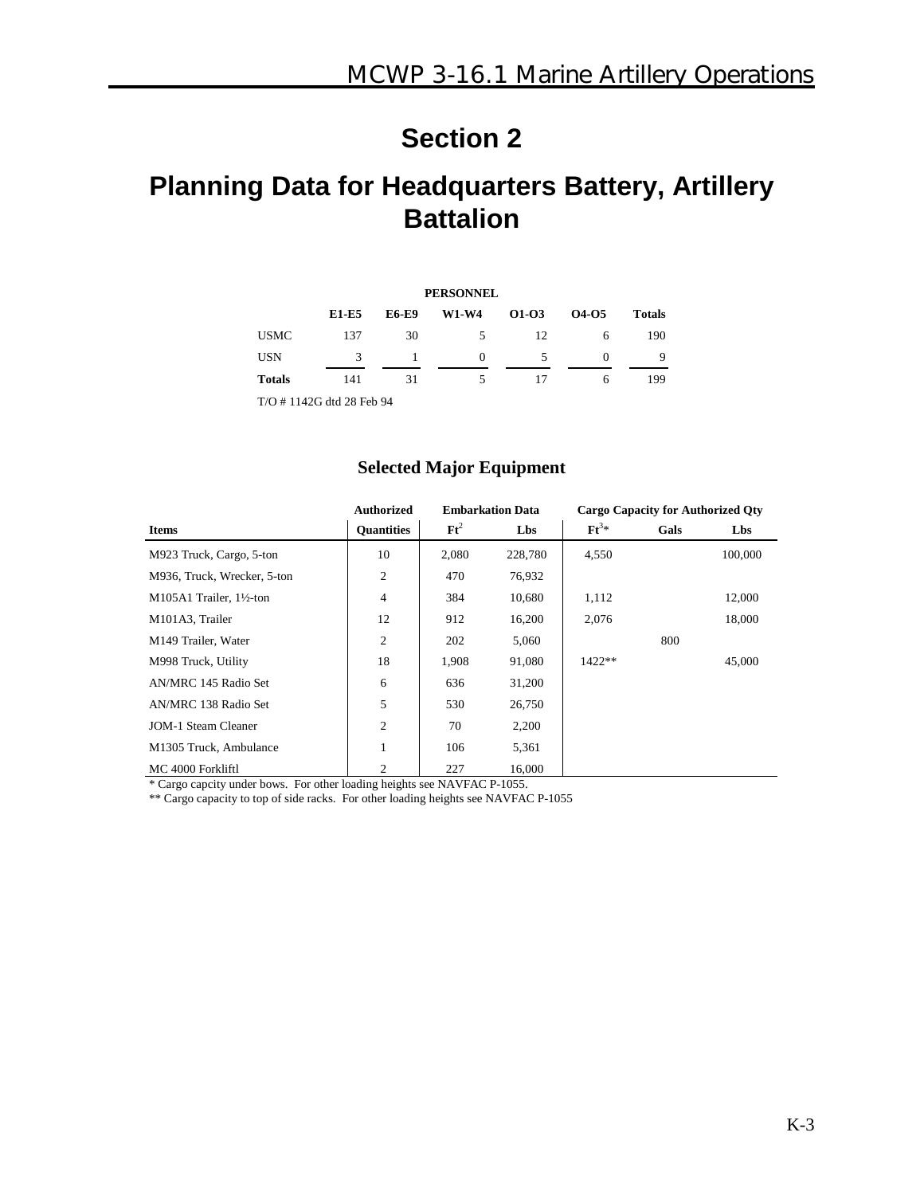# **Planning Data for Headquarters Battery, Artillery Battalion**

| <b>PERSONNEL</b> |                          |              |              |       |          |               |  |  |  |
|------------------|--------------------------|--------------|--------------|-------|----------|---------------|--|--|--|
|                  | E1-E5                    | <b>E6-E9</b> | <b>W1-W4</b> | 01-03 | 04-05    | <b>Totals</b> |  |  |  |
| <b>USMC</b>      | 137                      | 30           | 5            | 12    | 6        | 190           |  |  |  |
| <b>USN</b>       | 3                        |              | $\Omega$     | 5     | $\Omega$ | 9             |  |  |  |
| <b>Totals</b>    | 141                      | 31           | 5            | 17    | 6        | 199           |  |  |  |
|                  | T/O #1142G dtd 28 Feb 94 |              |              |       |          |               |  |  |  |

#### **Selected Major Equipment**

|                             | <b>Authorized</b> | <b>Embarkation Data</b> |         | <b>Cargo Capacity for Authorized Qty</b> |      |         |
|-----------------------------|-------------------|-------------------------|---------|------------------------------------------|------|---------|
| <b>Items</b>                | <b>Ouantities</b> | $\mathbf{F}t^2$         | Lbs     | $\mathbf{F} \mathbf{t}^{3*}$             | Gals | Lbs     |
| M923 Truck, Cargo, 5-ton    | 10                | 2,080                   | 228,780 | 4,550                                    |      | 100,000 |
| M936, Truck, Wrecker, 5-ton | 2                 | 470                     | 76,932  |                                          |      |         |
| M105A1 Trailer, 1½-ton      | $\overline{4}$    | 384                     | 10,680  | 1,112                                    |      | 12,000  |
| M101A3, Trailer             | 12                | 912                     | 16,200  | 2,076                                    |      | 18,000  |
| M149 Trailer, Water         | 2                 | 202                     | 5,060   |                                          | 800  |         |
| M998 Truck, Utility         | 18                | 1,908                   | 91,080  | $1422**$                                 |      | 45,000  |
| AN/MRC 145 Radio Set        | 6                 | 636                     | 31,200  |                                          |      |         |
| AN/MRC 138 Radio Set        | 5                 | 530                     | 26,750  |                                          |      |         |
| <b>JOM-1 Steam Cleaner</b>  | $\overline{2}$    | 70                      | 2,200   |                                          |      |         |
| M1305 Truck, Ambulance      | $\mathbf{1}$      | 106                     | 5,361   |                                          |      |         |
| MC 4000 Forkliftl           | 2                 | 227                     | 16,000  |                                          |      |         |

\* Cargo capcity under bows. For other loading heights see NAVFAC P-1055.

\*\* Cargo capacity to top of side racks. For other loading heights see NAVFAC P-1055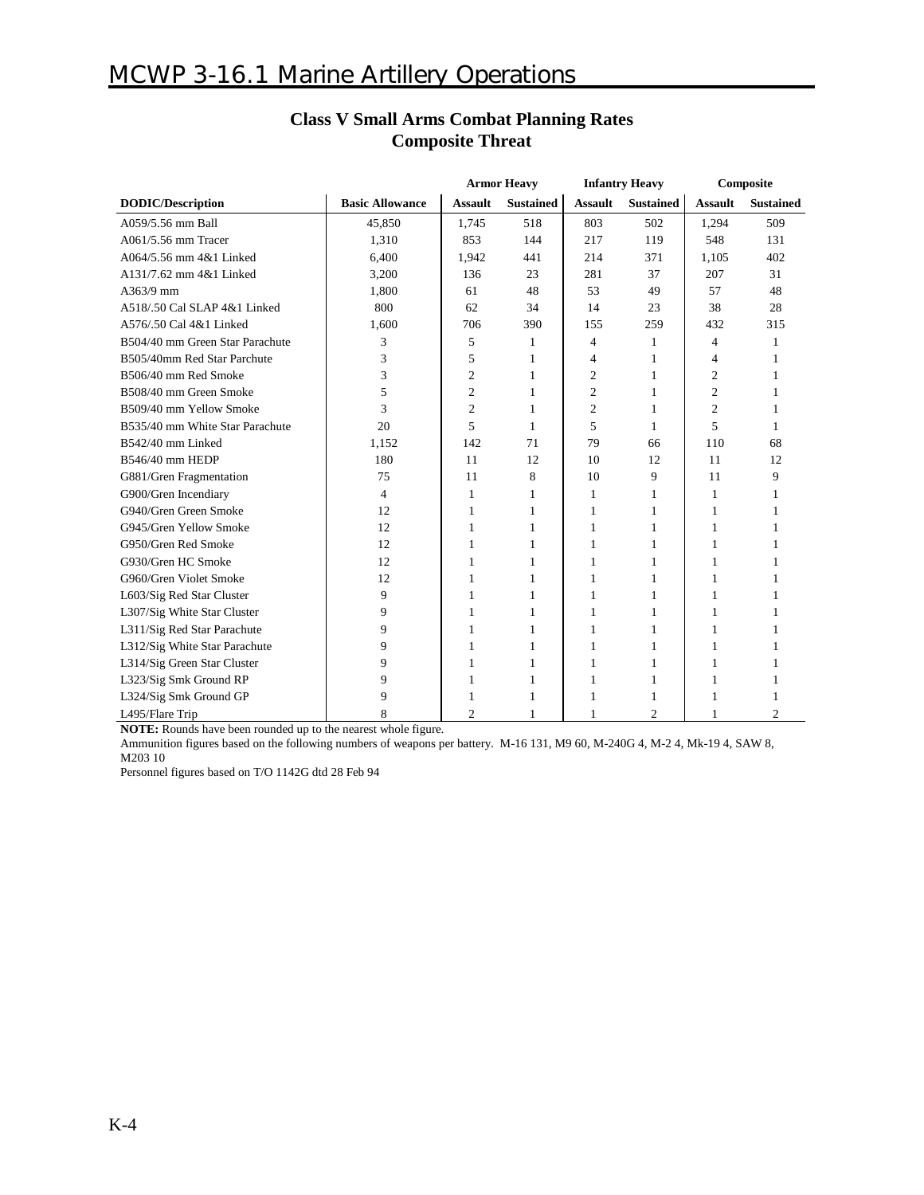### **MCWP 3-16.1 Marine Artillery Operations**

|                                 |                        | <b>Armor Heavy</b> |                  | <b>Infantry Heavy</b> |                  | Composite      |                  |
|---------------------------------|------------------------|--------------------|------------------|-----------------------|------------------|----------------|------------------|
| <b>DODIC/Description</b>        | <b>Basic Allowance</b> | <b>Assault</b>     | <b>Sustained</b> | <b>Assault</b>        | <b>Sustained</b> | <b>Assault</b> | <b>Sustained</b> |
| A059/5.56 mm Ball               | 45,850                 | 1,745              | 518              | 803                   | 502              | 1,294          | 509              |
| A061/5.56 mm Tracer             | 1,310                  | 853                | 144              | 217                   | 119              | 548            | 131              |
| A064/5.56 mm 4&1 Linked         | 6,400                  | 1,942              | 441              | 214                   | 371              | 1,105          | 402              |
| A131/7.62 mm 4&1 Linked         | 3,200                  | 136                | 23               | 281                   | 37               | 207            | 31               |
| A363/9 mm                       | 1,800                  | 61                 | 48               | 53                    | 49               | 57             | 48               |
| A518/.50 Cal SLAP 4&1 Linked    | 800                    | 62                 | 34               | 14                    | 23               | 38             | 28               |
| A576/.50 Cal 4&1 Linked         | 1,600                  | 706                | 390              | 155                   | 259              | 432            | 315              |
| B504/40 mm Green Star Parachute | 3                      | 5                  | $\mathbf{1}$     | $\overline{4}$        | 1                | $\overline{4}$ | 1                |
| B505/40mm Red Star Parchute     | 3                      | 5                  | 1                | $\overline{4}$        | 1                | $\overline{4}$ |                  |
| B506/40 mm Red Smoke            | 3                      | 2                  | $\mathbf{1}$     | $\overline{c}$        | 1                | 2              | 1                |
| B508/40 mm Green Smoke          | 5                      | 2                  | 1                | $\overline{2}$        | 1                | $\overline{c}$ | 1                |
| B509/40 mm Yellow Smoke         | 3                      | $\overline{c}$     | 1                | $\overline{2}$        | 1                | $\overline{c}$ | 1                |
| B535/40 mm White Star Parachute | 20                     | 5                  | 1                | 5                     | 1                | 5              | 1                |
| B542/40 mm Linked               | 1,152                  | 142                | 71               | 79                    | 66               | 110            | 68               |
| B546/40 mm HEDP                 | 180                    | 11                 | 12               | 10                    | 12               | 11             | 12               |
| G881/Gren Fragmentation         | 75                     | 11                 | 8                | 10                    | 9                | 11             | 9                |
| G900/Gren Incendiary            | $\overline{4}$         | 1                  | 1                | 1                     | 1                | $\mathbf{1}$   |                  |
| G940/Gren Green Smoke           | 12                     | 1                  | 1                | $\mathbf{1}$          | 1                | 1              |                  |
| G945/Gren Yellow Smoke          | 12                     | 1                  | 1                | 1                     | 1                | 1              | 1                |
| G950/Gren Red Smoke             | 12                     | 1                  | 1                | $\mathbf{1}$          | 1                | 1              | 1                |
| G930/Gren HC Smoke              | 12                     | 1                  | 1                | 1                     | 1                | 1              |                  |
| G960/Gren Violet Smoke          | 12                     | 1                  | $\mathbf{1}$     | 1                     | 1                | 1              | 1                |
| L603/Sig Red Star Cluster       | 9                      | 1                  | 1                | 1                     | 1                | 1              | 1                |
| L307/Sig White Star Cluster     | 9                      | 1                  | 1                | $\mathbf{1}$          | 1                | 1              |                  |
| L311/Sig Red Star Parachute     | 9                      | 1                  | 1                | $\mathbf{1}$          | 1                | 1              | 1                |
| L312/Sig White Star Parachute   | 9                      | 1                  | 1                | $\mathbf{1}$          | 1                | 1              | 1                |
| L314/Sig Green Star Cluster     | 9                      | 1                  | 1                | 1                     | 1                | 1              |                  |
| L323/Sig Smk Ground RP          | 9                      | 1                  | 1                | 1                     | 1                | 1              | 1                |
| L324/Sig Smk Ground GP          | 9                      | 1                  | 1                | 1                     | 1                | 1              |                  |
| L495/Flare Trip                 | 8                      | $\overline{2}$     | 1                | $\mathbf{1}$          | $\overline{c}$   | 1              | $\overline{c}$   |

### **Class V Small Arms Combat Planning Rates Composite Threat**

**NOTE:** Rounds have been rounded up to the nearest whole figure.

Ammunition figures based on the following numbers of weapons per battery. M-16 131, M9 60, M-240G 4, M-2 4, Mk-19 4, SAW 8, M203 10

Personnel figures based on T/O 1142G dtd 28 Feb 94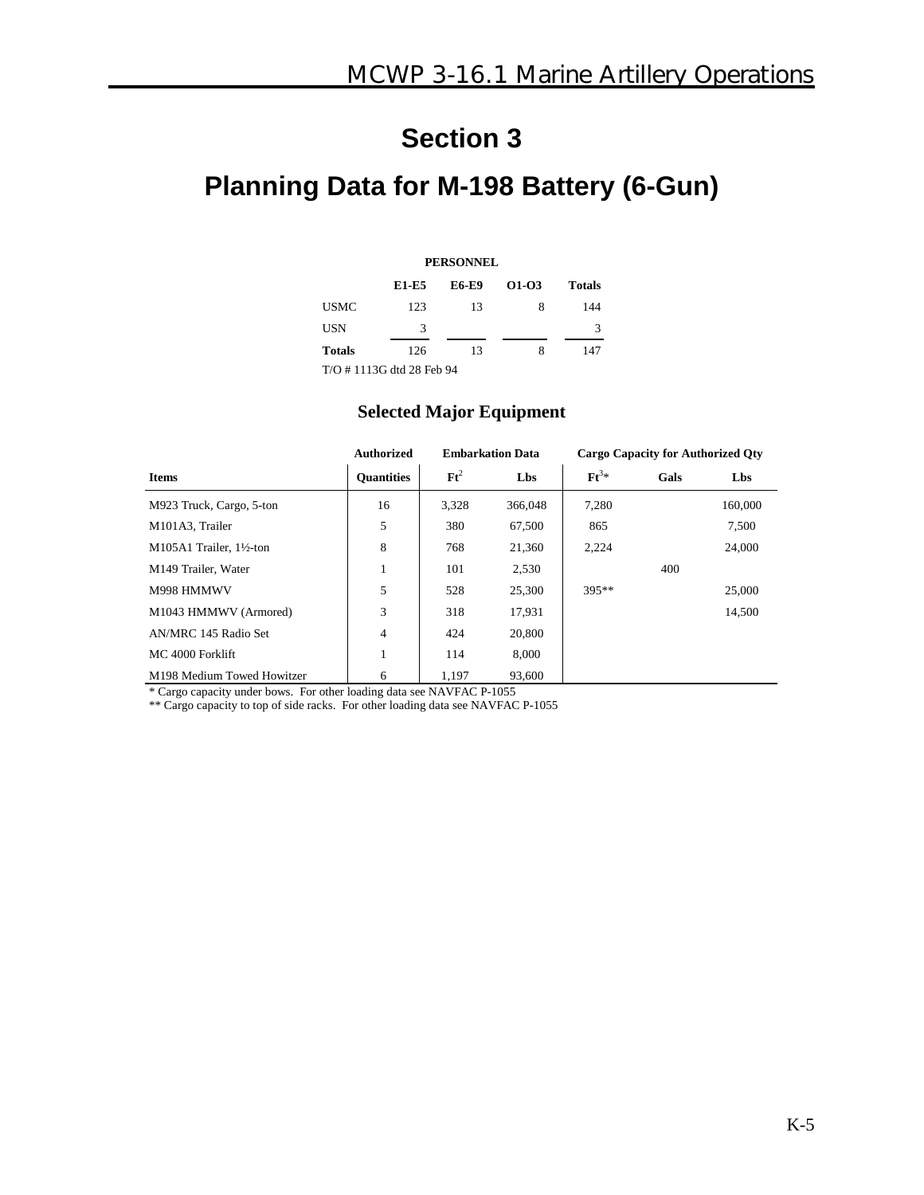# **Planning Data for M-198 Battery (6-Gun)**

| <b>PERSONNEL</b>         |       |              |         |        |  |  |  |  |  |
|--------------------------|-------|--------------|---------|--------|--|--|--|--|--|
|                          | E1-E5 | <b>E6-E9</b> | $01-03$ | Totals |  |  |  |  |  |
| <b>USMC</b>              | 123   | 13           | 8       | 144    |  |  |  |  |  |
| USN                      | 3     |              |         | 3      |  |  |  |  |  |
| <b>Totals</b>            | 126   | 13           | 8       | 147    |  |  |  |  |  |
| T/O #1113G dtd 28 Feb 94 |       |              |         |        |  |  |  |  |  |

#### **Selected Major Equipment**

|                            | <b>Authorized</b> |                 | <b>Embarkation Data</b> | <b>Cargo Capacity for Authorized Oty</b> |      |         |
|----------------------------|-------------------|-----------------|-------------------------|------------------------------------------|------|---------|
| <b>Items</b>               | <b>Quantities</b> | $\mathbf{F}t^2$ | Lbs                     | $\mathbf{F} \mathbf{t}^{3*}$             | Gals | Lbs     |
| M923 Truck, Cargo, 5-ton   | 16                | 3.328           | 366,048                 | 7,280                                    |      | 160,000 |
| M101A3, Trailer            | 5                 | 380             | 67,500                  | 865                                      |      | 7,500   |
| $M105A1$ Trailer, 1½-ton   | 8                 | 768             | 21.360                  | 2.224                                    |      | 24,000  |
| M149 Trailer, Water        | 1                 | 101             | 2,530                   |                                          | 400  |         |
| M998 HMMWV                 | 5                 | 528             | 25,300                  | 395**                                    |      | 25,000  |
| M1043 HMMWV (Armored)      | 3                 | 318             | 17,931                  |                                          |      | 14.500  |
| AN/MRC 145 Radio Set       | 4                 | 424             | 20,800                  |                                          |      |         |
| MC 4000 Forklift           | л.                | 114             | 8.000                   |                                          |      |         |
| M198 Medium Towed Howitzer | 6                 | 1.197           | 93,600                  |                                          |      |         |

\* Cargo capacity under bows. For other loading data see NAVFAC P-1055

\*\* Cargo capacity to top of side racks. For other loading data see NAVFAC P-1055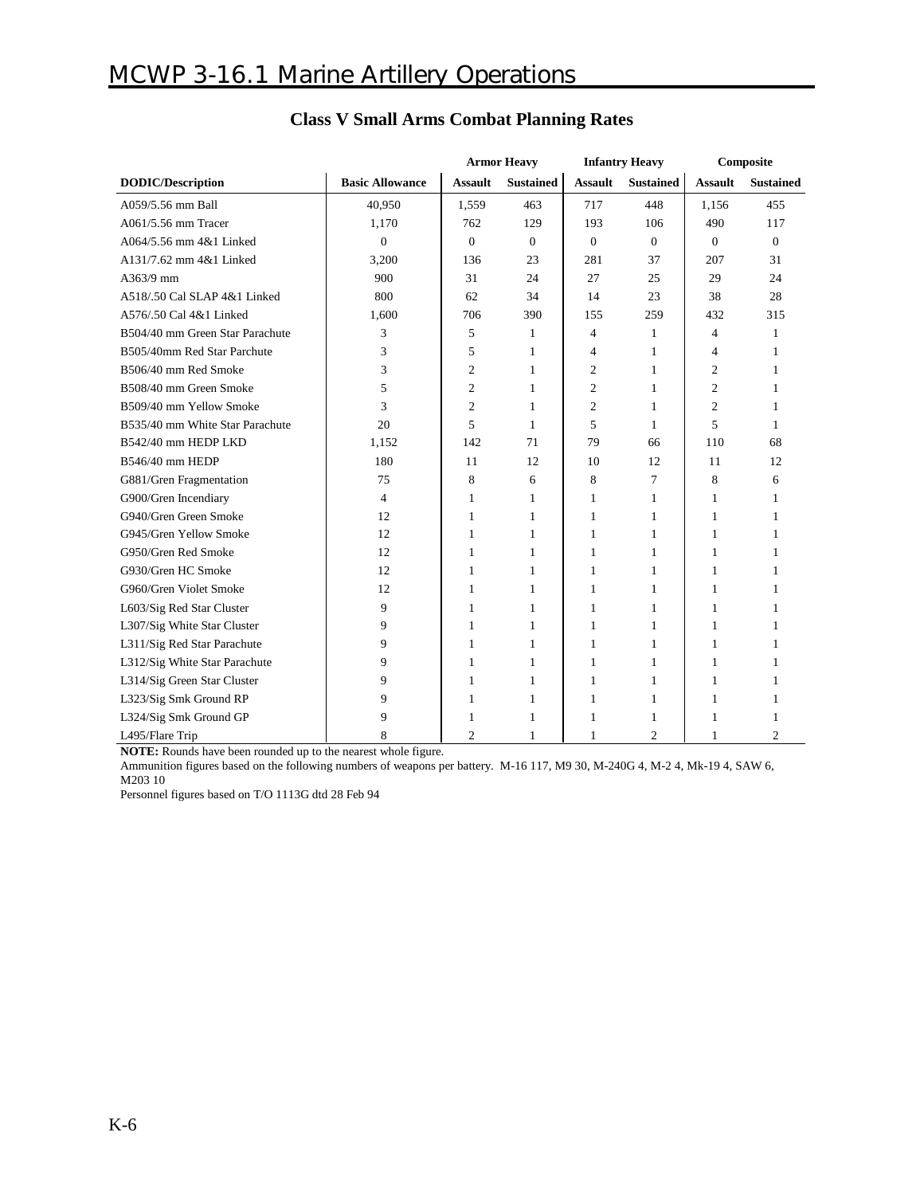|                                 |                        | <b>Armor Heavy</b> |                  | <b>Infantry Heavy</b> |                  | Composite      |                  |
|---------------------------------|------------------------|--------------------|------------------|-----------------------|------------------|----------------|------------------|
| <b>DODIC/Description</b>        | <b>Basic Allowance</b> | <b>Assault</b>     | <b>Sustained</b> | <b>Assault</b>        | <b>Sustained</b> | <b>Assault</b> | <b>Sustained</b> |
| A059/5.56 mm Ball               | 40,950                 | 1,559              | 463              | 717                   | 448              | 1,156          | 455              |
| A061/5.56 mm Tracer             | 1,170                  | 762                | 129              | 193                   | 106              | 490            | 117              |
| A064/5.56 mm 4&1 Linked         | $\mathbf{0}$           | $\overline{0}$     | $\mathbf{0}$     | $\mathbf{0}$          | $\mathbf{0}$     | $\mathbf{0}$   | $\mathbf{0}$     |
| A131/7.62 mm 4&1 Linked         | 3,200                  | 136                | 23               | 281                   | 37               | 207            | 31               |
| A363/9 mm                       | 900                    | 31                 | 24               | 27                    | 25               | 29             | 24               |
| A518/.50 Cal SLAP 4&1 Linked    | 800                    | 62                 | 34               | 14                    | 23               | 38             | 28               |
| A576/.50 Cal 4&1 Linked         | 1,600                  | 706                | 390              | 155                   | 259              | 432            | 315              |
| B504/40 mm Green Star Parachute | 3                      | 5                  | 1                | 4                     | 1                | $\overline{4}$ | 1                |
| B505/40mm Red Star Parchute     | 3                      | 5                  | 1                | 4                     | 1                | $\overline{4}$ | 1                |
| B506/40 mm Red Smoke            | 3                      | 2                  | 1                | $\overline{c}$        | 1                | $\overline{c}$ | $\mathbf{1}$     |
| B508/40 mm Green Smoke          | 5                      | 2                  | 1                | $\overline{2}$        | 1                | $\overline{2}$ | 1                |
| B509/40 mm Yellow Smoke         | 3                      | $\overline{c}$     | 1                | $\overline{2}$        | 1                | $\overline{2}$ | $\mathbf{1}$     |
| B535/40 mm White Star Parachute | 20                     | 5                  | 1                | 5                     | 1                | 5              | $\mathbf{1}$     |
| B542/40 mm HEDP LKD             | 1,152                  | 142                | 71               | 79                    | 66               | 110            | 68               |
| B546/40 mm HEDP                 | 180                    | 11                 | 12               | 10                    | 12               | 11             | 12               |
| G881/Gren Fragmentation         | 75                     | 8                  | 6                | 8                     | 7                | 8              | 6                |
| G900/Gren Incendiary            | $\overline{4}$         | 1                  | 1                | 1                     | 1                | 1              | 1                |
| G940/Gren Green Smoke           | 12                     | 1                  | 1                | 1                     | 1                | 1              | $\mathbf{1}$     |
| G945/Gren Yellow Smoke          | 12                     | 1                  | 1                | 1                     | 1                | 1              | $\mathbf{1}$     |
| G950/Gren Red Smoke             | 12                     | 1                  | 1                | 1                     | 1                | 1              | 1                |
| G930/Gren HC Smoke              | 12                     | 1                  | 1                | 1                     | 1                | 1              | 1                |
| G960/Gren Violet Smoke          | 12                     | 1                  | 1                | 1                     | 1                | 1              | 1                |
| L603/Sig Red Star Cluster       | 9                      | 1                  | 1                | 1                     | 1                | 1              | 1                |
| L307/Sig White Star Cluster     | 9                      | 1                  | 1                | 1                     | 1                | 1              | 1                |
| L311/Sig Red Star Parachute     | 9                      | 1                  | 1                | 1                     | 1                | 1              | 1                |
| L312/Sig White Star Parachute   | 9                      | 1                  | 1                | 1                     | 1                | 1              | 1                |
| L314/Sig Green Star Cluster     | 9                      | 1                  | 1                | 1                     | 1                | 1              | 1                |
| L323/Sig Smk Ground RP          | 9                      | 1                  | 1                | 1                     | 1                | 1              | 1                |
| L324/Sig Smk Ground GP          | 9                      | 1                  | 1                | 1                     | 1                | 1              | 1                |
| L495/Flare Trip                 |                        | $\overline{c}$     | 1                | 1                     | $\overline{c}$   | 1              | $\mathfrak{D}$   |

### **Class V Small Arms Combat Planning Rates**

**NOTE:** Rounds have been rounded up to the nearest whole figure.

Ammunition figures based on the following numbers of weapons per battery. M-16 117, M9 30, M-240G 4, M-2 4, Mk-19 4, SAW 6, M203 10

Personnel figures based on T/O 1113G dtd 28 Feb 94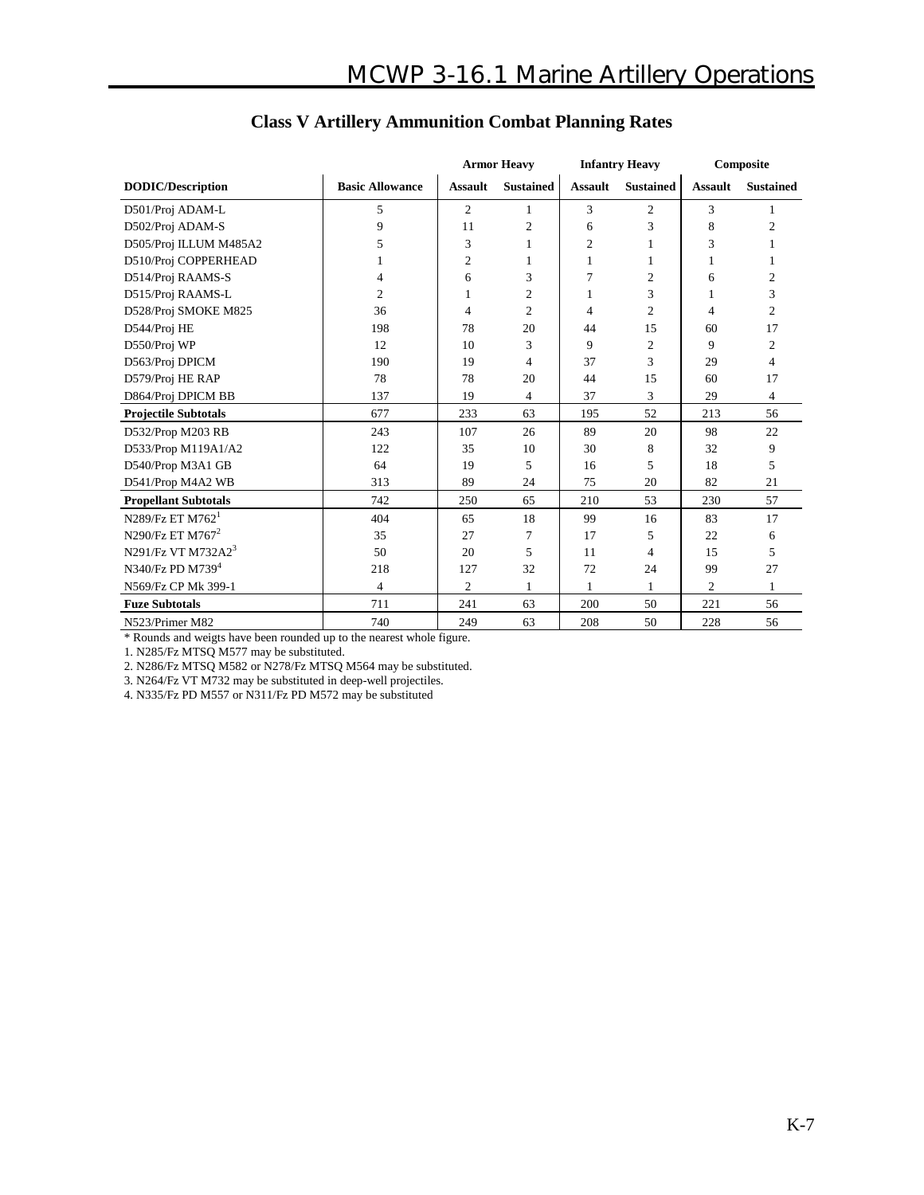|                                 |                        |                | <b>Armor Heavy</b> | <b>Infantry Heavy</b> |                  | Composite      |                  |
|---------------------------------|------------------------|----------------|--------------------|-----------------------|------------------|----------------|------------------|
| <b>DODIC/Description</b>        | <b>Basic Allowance</b> | <b>Assault</b> | <b>Sustained</b>   | <b>Assault</b>        | <b>Sustained</b> | <b>Assault</b> | <b>Sustained</b> |
| D501/Proj ADAM-L                | 5                      | $\overline{c}$ | 1                  | 3                     | $\overline{c}$   | 3              | 1                |
| D502/Proj ADAM-S                | 9                      | 11             | $\overline{c}$     | 6                     | 3                | 8              | $\overline{c}$   |
| D505/Proj ILLUM M485A2          | 5                      | 3              |                    | $\mathfrak{2}$        |                  | 3              |                  |
| D510/Proj COPPERHEAD            |                        | $\overline{2}$ | 1                  | 1                     | 1                | 1              | 1                |
| D514/Proj RAAMS-S               | 4                      | 6              | 3                  | 7                     | $\overline{c}$   | 6              | $\overline{c}$   |
| D515/Proj RAAMS-L               | $\overline{c}$         | 1              | $\overline{c}$     | 1                     | 3                | 1              | 3                |
| D528/Proj SMOKE M825            | 36                     | 4              | $\overline{2}$     | 4                     | $\overline{c}$   | 4              | $\overline{c}$   |
| D544/Proj HE                    | 198                    | 78             | 20                 | 44                    | 15               | 60             | 17               |
| D550/Proj WP                    | 12                     | 10             | 3                  | 9                     | $\overline{c}$   | 9              | 2                |
| D563/Proj DPICM                 | 190                    | 19             | 4                  | 37                    | 3                | 29             | 4                |
| D579/Proj HE RAP                | 78                     | 78             | 20                 | 44                    | 15               | 60             | 17               |
| D864/Proj DPICM BB              | 137                    | 19             | 4                  | 37                    | 3                | 29             | $\overline{4}$   |
| <b>Projectile Subtotals</b>     | 677                    | 233            | 63                 | 195                   | 52               | 213            | 56               |
| D532/Prop M203 RB               | 243                    | 107            | 26                 | 89                    | 20               | 98             | 22               |
| D533/Prop M119A1/A2             | 122                    | 35             | 10                 | 30                    | 8                | 32             | 9                |
| D540/Prop M3A1 GB               | 64                     | 19             | 5                  | 16                    | 5                | 18             | 5                |
| D541/Prop M4A2 WB               | 313                    | 89             | 24                 | 75                    | 20               | 82             | 21               |
| <b>Propellant Subtotals</b>     | 742                    | 250            | 65                 | 210                   | 53               | 230            | 57               |
| $N289$ /Fz ET M762 <sup>1</sup> | 404                    | 65             | 18                 | 99                    | 16               | 83             | 17               |
| N290/Fz ET M767 <sup>2</sup>    | 35                     | 27             | 7                  | 17                    | 5                | 22             | 6                |
| N291/Fz VT M732A2 $3$           | 50                     | 20             | 5                  | 11                    | 4                | 15             | 5                |
| N340/Fz PD M739 <sup>4</sup>    | 218                    | 127            | 32                 | 72                    | 24               | 99             | 27               |
| N569/Fz CP Mk 399-1             | 4                      | 2              | 1                  | $\mathbf{1}$          | $\mathbf{1}$     | $\overline{c}$ | 1                |
| <b>Fuze Subtotals</b>           | 711                    | 241            | 63                 | 200                   | 50               | 221            | 56               |
| N523/Primer M82                 | 740                    | 249            | 63                 | 208                   | 50               | 228            | 56               |

### **Class V Artillery Ammunition Combat Planning Rates**

\* Rounds and weigts have been rounded up to the nearest whole figure.

1. N285/Fz MTSQ M577 may be substituted.

2. N286/Fz MTSQ M582 or N278/Fz MTSQ M564 may be substituted.

3. N264/Fz VT M732 may be substituted in deep-well projectiles.

4. N335/Fz PD M557 or N311/Fz PD M572 may be substituted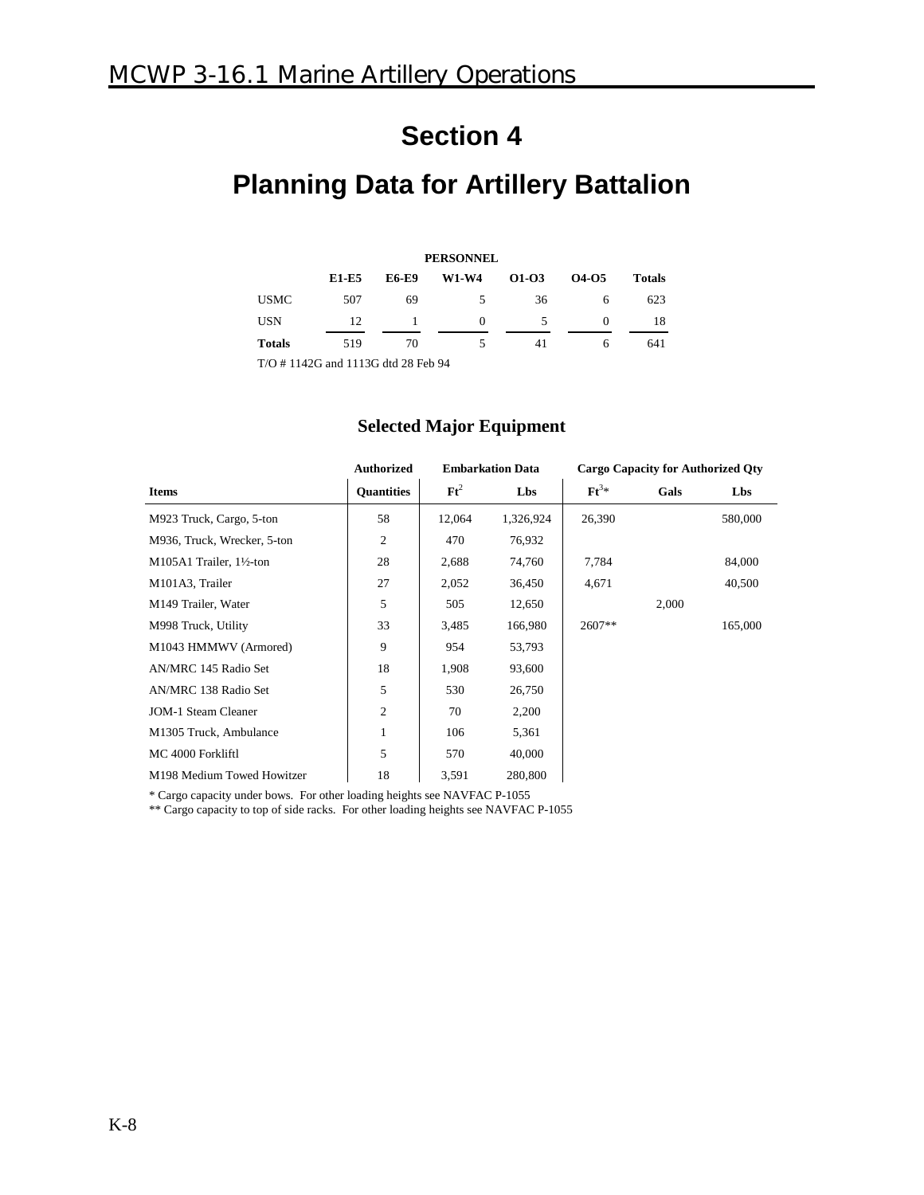# **Planning Data for Artillery Battalion**

| <b>PERSONNEL</b>                   |              |              |              |         |          |               |  |  |  |  |
|------------------------------------|--------------|--------------|--------------|---------|----------|---------------|--|--|--|--|
|                                    | <b>E1-E5</b> | <b>E6-E9</b> | <b>W1-W4</b> | $01-03$ | 04-05    | <b>Totals</b> |  |  |  |  |
| <b>USMC</b>                        | 507          | 69           | 5            | 36      | 6        | 623           |  |  |  |  |
| <b>USN</b>                         | 12           |              | $\Omega$     | 5       | $\Omega$ | 18            |  |  |  |  |
| <b>Totals</b>                      | 519          | 70           | 5            | 41      | 6        | 641           |  |  |  |  |
| T/O #1142G and 1113G dtd 28 Feb 94 |              |              |              |         |          |               |  |  |  |  |

### **Selected Major Equipment**

|                             | <b>Authorized</b> |                 | <b>Embarkation Data</b> | <b>Cargo Capacity for Authorized Qty</b> |       |         |
|-----------------------------|-------------------|-----------------|-------------------------|------------------------------------------|-------|---------|
| <b>Items</b>                | <b>Quantities</b> | $\mathbf{F}t^2$ | Lbs                     | $\mathbf{F} \mathbf{t}^{3*}$             | Gals  | Lbs     |
| M923 Truck, Cargo, 5-ton    | 58                | 12,064          | 1,326,924               | 26,390                                   |       | 580,000 |
| M936, Truck, Wrecker, 5-ton | $\overline{c}$    | 470             | 76,932                  |                                          |       |         |
| M105A1 Trailer, 1½-ton      | 28                | 2,688           | 74,760                  | 7,784                                    |       | 84,000  |
| M101A3, Trailer             | 27                | 2,052           | 36,450                  | 4,671                                    |       | 40,500  |
| M149 Trailer, Water         | 5                 | 505             | 12,650                  |                                          | 2,000 |         |
| M998 Truck, Utility         | 33                | 3,485           | 166,980                 | $2607**$                                 |       | 165,000 |
| M1043 HMMWV (Armored)       | 9                 | 954             | 53,793                  |                                          |       |         |
| AN/MRC 145 Radio Set        | 18                | 1,908           | 93,600                  |                                          |       |         |
| AN/MRC 138 Radio Set        | 5                 | 530             | 26,750                  |                                          |       |         |
| <b>JOM-1 Steam Cleaner</b>  | $\overline{c}$    | 70              | 2,200                   |                                          |       |         |
| M1305 Truck, Ambulance      | 1                 | 106             | 5,361                   |                                          |       |         |
| MC 4000 Forkliftl           | 5                 | 570             | 40,000                  |                                          |       |         |
| M198 Medium Towed Howitzer  | 18                | 3,591           | 280,800                 |                                          |       |         |

\* Cargo capacity under bows. For other loading heights see NAVFAC P-1055

\*\* Cargo capacity to top of side racks. For other loading heights see NAVFAC P-1055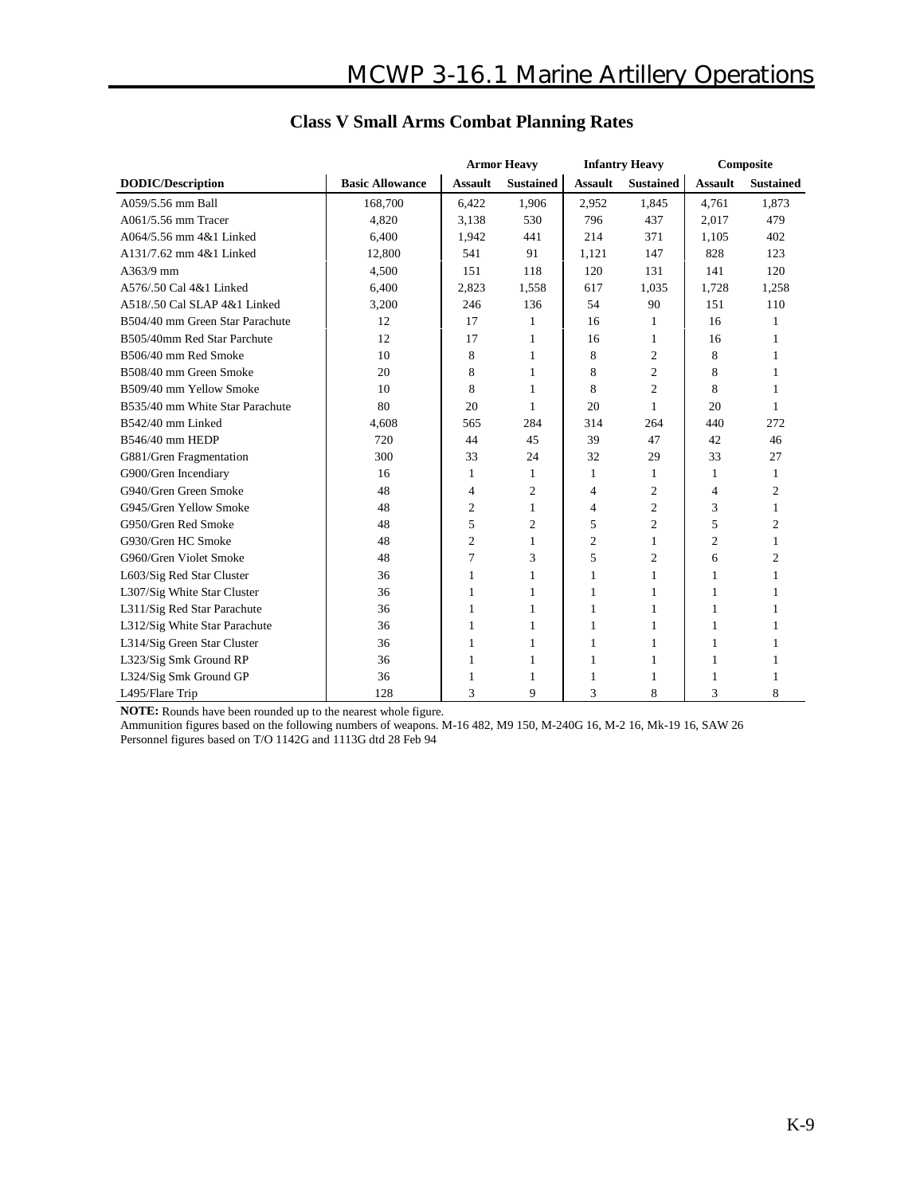|                                 |                        | <b>Armor Heavy</b> |                  | <b>Infantry Heavy</b> |                  | Composite      |                  |
|---------------------------------|------------------------|--------------------|------------------|-----------------------|------------------|----------------|------------------|
| <b>DODIC/Description</b>        | <b>Basic Allowance</b> | <b>Assault</b>     | <b>Sustained</b> | <b>Assault</b>        | <b>Sustained</b> | <b>Assault</b> | <b>Sustained</b> |
| A059/5.56 mm Ball               | 168,700                | 6,422              | 1,906            | 2,952                 | 1,845            | 4,761          | 1,873            |
| A061/5.56 mm Tracer             | 4,820                  | 3.138              | 530              | 796                   | 437              | 2.017          | 479              |
| A064/5.56 mm 4&1 Linked         | 6,400                  | 1,942              | 441              | 214                   | 371              | 1,105          | 402              |
| A131/7.62 mm 4&1 Linked         | 12,800                 | 541                | 91               | 1,121                 | 147              | 828            | 123              |
| A363/9 mm                       | 4,500                  | 151                | 118              | 120                   | 131              | 141            | 120              |
| A576/.50 Cal 4&1 Linked         | 6,400                  | 2,823              | 1,558            | 617                   | 1,035            | 1,728          | 1,258            |
| A518/.50 Cal SLAP 4&1 Linked    | 3,200                  | 246                | 136              | 54                    | 90               | 151            | 110              |
| B504/40 mm Green Star Parachute | 12                     | 17                 | 1                | 16                    | 1                | 16             | 1                |
| B505/40mm Red Star Parchute     | 12                     | 17                 | 1                | 16                    | 1                | 16             | 1                |
| B506/40 mm Red Smoke            | 10                     | 8                  | 1                | 8                     | 2                | 8              | 1                |
| B508/40 mm Green Smoke          | 20                     | 8                  | 1                | 8                     | $\overline{c}$   | 8              | 1                |
| B509/40 mm Yellow Smoke         | 10                     | 8                  | 1                | 8                     | $\overline{c}$   | 8              | $\mathbf{1}$     |
| B535/40 mm White Star Parachute | 80                     | 20                 | 1                | 20                    | 1                | 20             | 1                |
| B542/40 mm Linked               | 4,608                  | 565                | 284              | 314                   | 264              | 440            | 272              |
| B546/40 mm HEDP                 | 720                    | 44                 | 45               | 39                    | 47               | 42             | 46               |
| G881/Gren Fragmentation         | 300                    | 33                 | 24               | 32                    | 29               | 33             | 27               |
| G900/Gren Incendiary            | 16                     | $\mathbf{1}$       | 1                | $\mathbf{1}$          | 1                | 1              | $\mathbf{1}$     |
| G940/Gren Green Smoke           | 48                     | 4                  | $\mathfrak{2}$   | 4                     | 2                | 4              | $\mathfrak{2}$   |
| G945/Gren Yellow Smoke          | 48                     | $\mathfrak{2}$     | 1                | $\overline{4}$        | $\overline{c}$   | 3              | 1                |
| G950/Gren Red Smoke             | 48                     | 5                  | $\mathfrak{2}$   | 5                     | $\overline{c}$   | 5              | 2                |
| G930/Gren HC Smoke              | 48                     | $\mathfrak{2}$     | 1                | $\overline{c}$        | 1                | $\overline{2}$ | 1                |
| G960/Gren Violet Smoke          | 48                     | 7                  | 3                | 5                     | $\overline{c}$   | 6              | $\overline{c}$   |
| L603/Sig Red Star Cluster       | 36                     | 1                  | 1                | 1                     | 1                | 1              | 1                |
| L307/Sig White Star Cluster     | 36                     | 1                  | 1                | 1                     | 1                | 1              | 1                |
| L311/Sig Red Star Parachute     | 36                     | 1                  | 1                | 1                     | 1                | 1              | 1                |
| L312/Sig White Star Parachute   | 36                     | 1                  | 1                | 1                     | 1                | 1              | 1                |
| L314/Sig Green Star Cluster     | 36                     | 1                  |                  | 1                     | 1                | 1              | 1                |
| L323/Sig Smk Ground RP          | 36                     | 1                  | 1                | 1                     | 1                | 1              | 1                |
| L324/Sig Smk Ground GP          | 36                     | 1                  | 1                | 1                     | 1                | 1              | 1                |
| L495/Flare Trip                 | 128                    | 3                  | 9                | 3                     | 8                | 3              | 8                |

### **Class V Small Arms Combat Planning Rates**

**NOTE:** Rounds have been rounded up to the nearest whole figure.

Ammunition figures based on the following numbers of weapons. M-16 482, M9 150, M-240G 16, M-2 16, Mk-19 16, SAW 26 Personnel figures based on T/O 1142G and 1113G dtd 28 Feb 94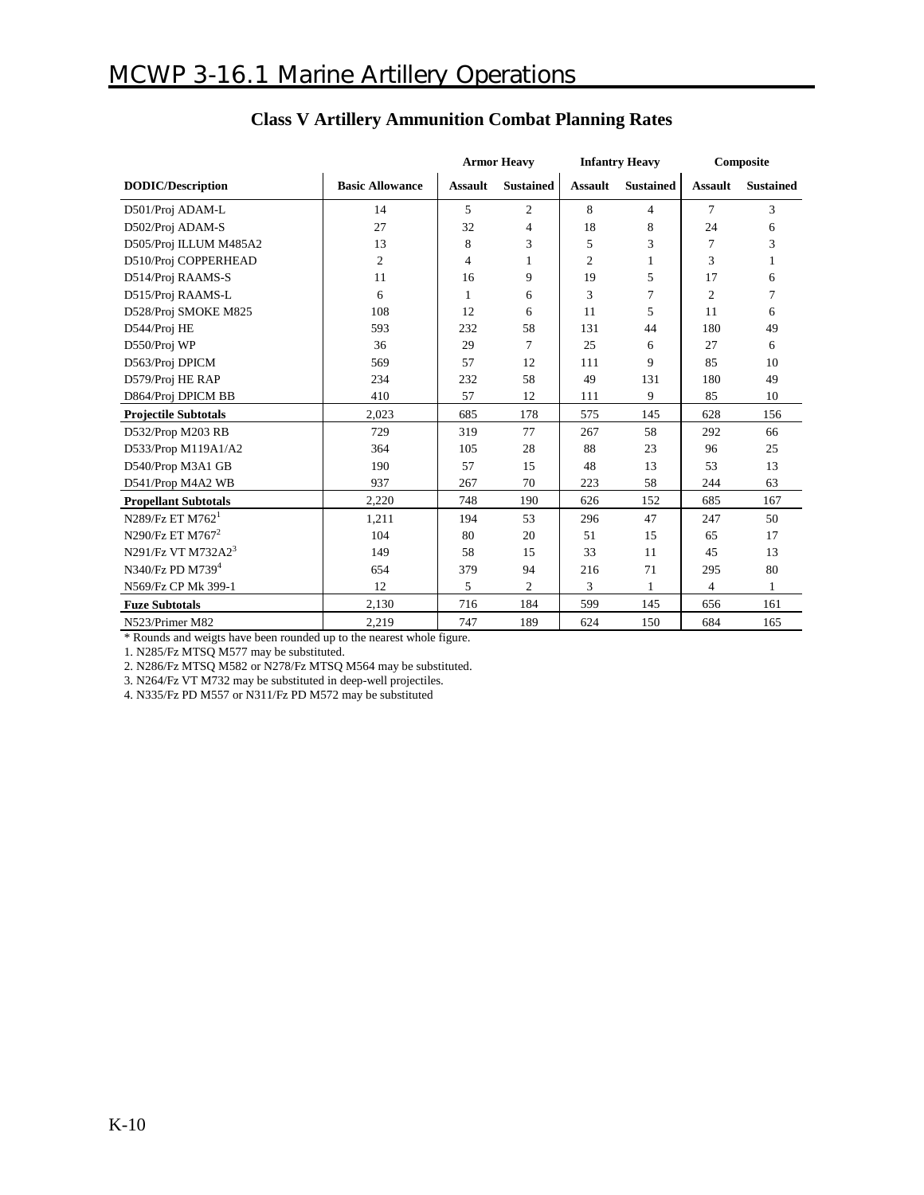|                                 |                        | <b>Armor Heavy</b> |                  | <b>Infantry Heavy</b> |                  | Composite      |                  |
|---------------------------------|------------------------|--------------------|------------------|-----------------------|------------------|----------------|------------------|
| <b>DODIC/Description</b>        | <b>Basic Allowance</b> | <b>Assault</b>     | <b>Sustained</b> | <b>Assault</b>        | <b>Sustained</b> | <b>Assault</b> | <b>Sustained</b> |
| D501/Proj ADAM-L                | 14                     | 5                  | $\overline{2}$   | 8                     | 4                | 7              | 3                |
| D502/Proj ADAM-S                | 27                     | 32                 | 4                | 18                    | 8                | 24             | 6                |
| D505/Proj ILLUM M485A2          | 13                     | 8                  | 3                | 5                     | 3                | 7              | 3                |
| D510/Proj COPPERHEAD            | $\overline{c}$         | $\overline{4}$     |                  | $\overline{2}$        | 1                | 3              | 1                |
| D514/Proj RAAMS-S               | 11                     | 16                 | 9                | 19                    | 5                | 17             | 6                |
| D515/Proj RAAMS-L               | 6                      | $\mathbf{1}$       | 6                | 3                     | 7                | $\overline{c}$ | 7                |
| D528/Proj SMOKE M825            | 108                    | 12                 | 6                | 11                    | 5                | 11             | 6                |
| D544/Proj HE                    | 593                    | 232                | 58               | 131                   | 44               | 180            | 49               |
| D550/Proj WP                    | 36                     | 29                 | 7                | 25                    | 6                | 27             | 6                |
| D563/Proj DPICM                 | 569                    | 57                 | 12               | 111                   | 9                | 85             | 10               |
| D579/Proj HE RAP                | 234                    | 232                | 58               | 49                    | 131              | 180            | 49               |
| D864/Proj DPICM BB              | 410                    | 57                 | 12               | 111                   | 9                | 85             | 10               |
| <b>Projectile Subtotals</b>     | 2.023                  | 685                | 178              | 575                   | 145              | 628            | 156              |
| D532/Prop M203 RB               | 729                    | 319                | 77               | 267                   | 58               | 292            | 66               |
| D533/Prop M119A1/A2             | 364                    | 105                | 28               | 88                    | 23               | 96             | 25               |
| D540/Prop M3A1 GB               | 190                    | 57                 | 15               | 48                    | 13               | 53             | 13               |
| D541/Prop M4A2 WB               | 937                    | 267                | 70               | 223                   | 58               | 244            | 63               |
| <b>Propellant Subtotals</b>     | 2,220                  | 748                | 190              | 626                   | 152              | 685            | 167              |
| $N289$ /Fz ET M762 <sup>1</sup> | 1,211                  | 194                | 53               | 296                   | 47               | 247            | 50               |
| N290/Fz ET M767 <sup>2</sup>    | 104                    | 80                 | 20               | 51                    | 15               | 65             | 17               |
| N291/Fz VT M732A23              | 149                    | 58                 | 15               | 33                    | 11               | 45             | 13               |
| N340/Fz PD M739 <sup>4</sup>    | 654                    | 379                | 94               | 216                   | 71               | 295            | 80               |
| N569/Fz CP Mk 399-1             | 12                     | 5                  | $\overline{c}$   | 3                     | 1                | $\overline{4}$ | 1                |
| <b>Fuze Subtotals</b>           | 2,130                  | 716                | 184              | 599                   | 145              | 656            | 161              |
| N523/Primer M82                 | 2,219                  | 747                | 189              | 624                   | 150              | 684            | 165              |

### **Class V Artillery Ammunition Combat Planning Rates**

\* Rounds and weigts have been rounded up to the nearest whole figure.

1. N285/Fz MTSQ M577 may be substituted.

2. N286/Fz MTSQ M582 or N278/Fz MTSQ M564 may be substituted.

3. N264/Fz VT M732 may be substituted in deep-well projectiles.

4. N335/Fz PD M557 or N311/Fz PD M572 may be substituted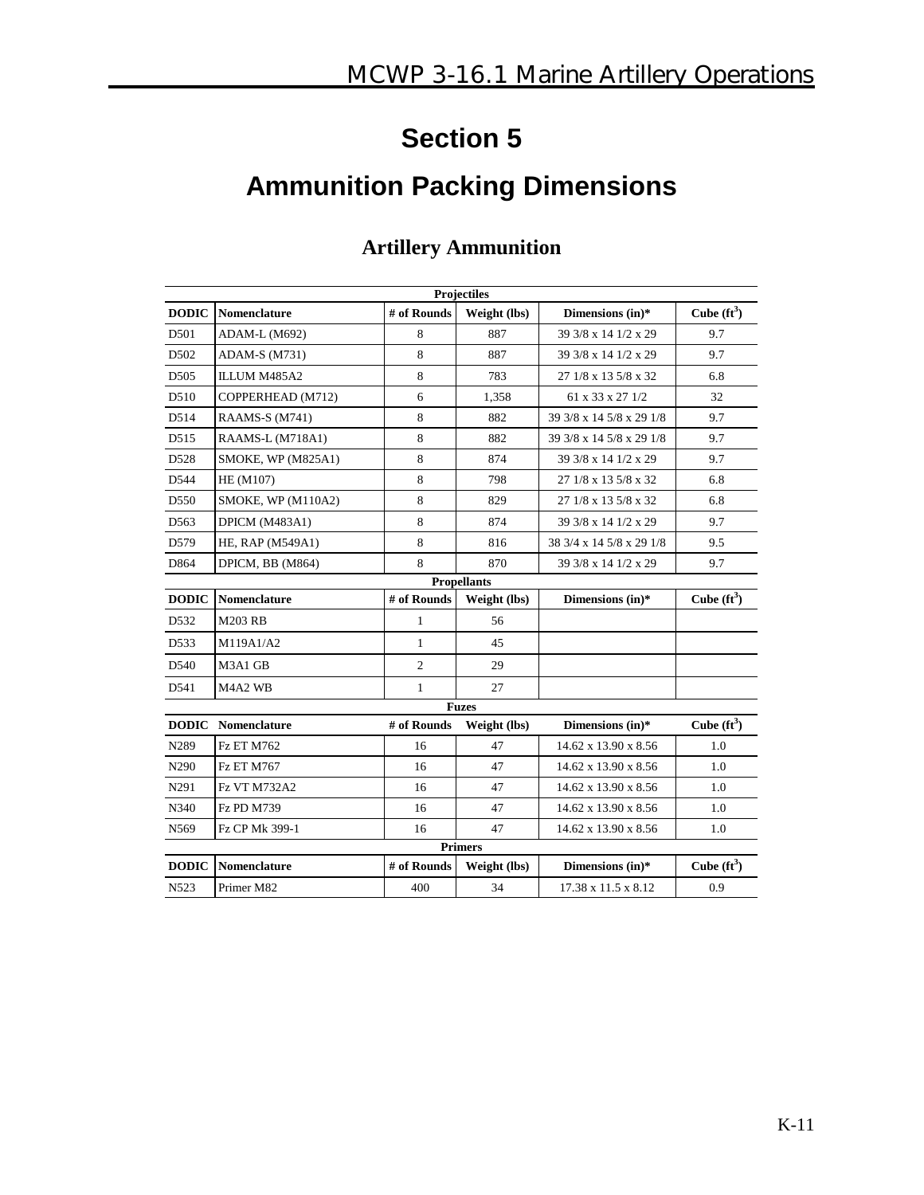# **Ammunition Packing Dimensions**

| <b>Projectiles</b> |                           |                |                    |                                 |                |  |  |  |
|--------------------|---------------------------|----------------|--------------------|---------------------------------|----------------|--|--|--|
| <b>DODIC</b>       | Nomenclature              | # of Rounds    | Weight (lbs)       | Dimensions (in)*                | Cube $(ft^3)$  |  |  |  |
| D501               | ADAM-L (M692)             | 8              | 887                | 39 3/8 x 14 1/2 x 29            | 9.7            |  |  |  |
| D502               | ADAM-S (M731)             | 8              | 887                | 39 3/8 x 14 1/2 x 29            | 9.7            |  |  |  |
| D <sub>505</sub>   | ILLUM M485A2              | 8              | 783                | 27 1/8 x 13 5/8 x 32            | 6.8            |  |  |  |
| D510               | COPPERHEAD (M712)         | 6              | 1,358              | 61 x 33 x 27 1/2                | 32             |  |  |  |
| D514               | <b>RAAMS-S (M741)</b>     | 8              | 882                | 39 3/8 x 14 5/8 x 29 1/8        | 9.7            |  |  |  |
| D <sub>515</sub>   | RAAMS-L (M718A1)          | 8              | 882                | 39 3/8 x 14 5/8 x 29 1/8        | 9.7            |  |  |  |
| D528               | <b>SMOKE, WP (M825A1)</b> | 8              | 874                | 39 3/8 x 14 1/2 x 29            | 9.7            |  |  |  |
| D544               | HE (M107)                 | 8              | 798                | 27 1/8 x 13 5/8 x 32            | 6.8            |  |  |  |
| D <sub>550</sub>   | SMOKE, WP (M110A2)        | 8              | 829                | 27 1/8 x 13 5/8 x 32            | 6.8            |  |  |  |
| D563               | DPICM (M483A1)            | 8              | 874                | 39 3/8 x 14 1/2 x 29            | 9.7            |  |  |  |
| D <sub>579</sub>   | HE, RAP (M549A1)          | 8              | 816                | 38 3/4 x 14 5/8 x 29 1/8        | 9.5            |  |  |  |
| D864               | DPICM, BB (M864)          | 8              | 870                | 39 3/8 x 14 1/2 x 29            | 9.7            |  |  |  |
|                    |                           |                | <b>Propellants</b> |                                 |                |  |  |  |
| <b>DODIC</b>       | <b>Nomenclature</b>       | # of Rounds    | Weight (lbs)       | Dimensions (in)*                | Cube $(f t^3)$ |  |  |  |
| D532               | <b>M203 RB</b>            | 1              | 56                 |                                 |                |  |  |  |
| D533               | M119A1/A2                 | $\mathbf{1}$   | 45                 |                                 |                |  |  |  |
| D540               | M3A1 GB                   | $\overline{c}$ | 29                 |                                 |                |  |  |  |
| D541               | M4A2 WB                   | $\mathbf{1}$   | 27                 |                                 |                |  |  |  |
|                    |                           |                | <b>Fuzes</b>       |                                 |                |  |  |  |
| <b>DODIC</b>       | Nomenclature              | # of Rounds    | Weight (lbs)       | Dimensions (in)*                | Cube $(ft^3)$  |  |  |  |
| N289               | <b>Fz ET M762</b>         | 16             | 47                 | 14.62 x 13.90 x 8.56            | 1.0            |  |  |  |
| N290               | <b>Fz ET M767</b>         | 16             | 47                 | 14.62 x 13.90 x 8.56            | 1.0            |  |  |  |
| N291               | <b>Fz VT M732A2</b>       | 16             | 47                 | 14.62 x 13.90 x 8.56            | 1.0            |  |  |  |
| N340               | <b>Fz PD M739</b>         | 16             | 47                 | 14.62 x 13.90 x 8.56            | 1.0            |  |  |  |
| N569               | Fz CP Mk 399-1            | 16             | 47                 | 14.62 x 13.90 x 8.56            | 1.0            |  |  |  |
| <b>Primers</b>     |                           |                |                    |                                 |                |  |  |  |
| <b>DODIC</b>       | <b>Nomenclature</b>       | # of Rounds    | Weight (lbs)       | Dimensions (in)*                | Cube $(ft^3)$  |  |  |  |
| N523               | Primer M82                | 400            | 34                 | $17.38 \times 11.5 \times 8.12$ | 0.9            |  |  |  |

### **Artillery Ammunition**